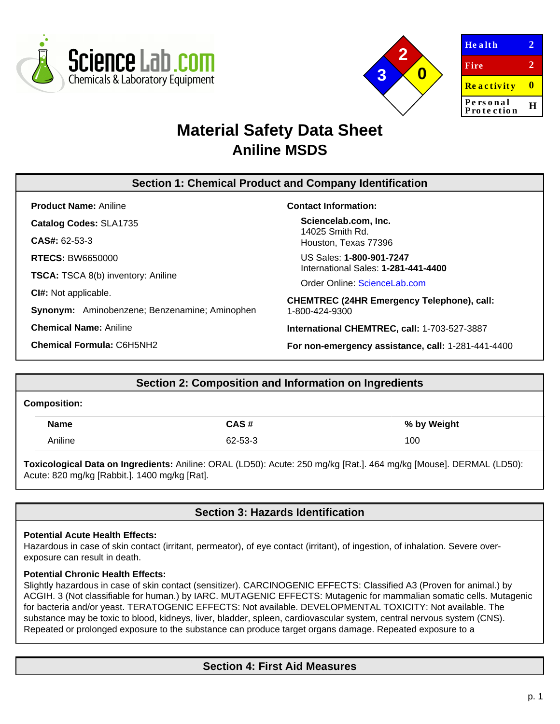



| <b>Health</b>          |   |
|------------------------|---|
| Fire                   | 2 |
| <b>Reactivity</b>      |   |
| Personal<br>Protection | н |

# **Material Safety Data Sheet Aniline MSDS**

# **Section 1: Chemical Product and Company Identification**

**Product Name:** Aniline **Catalog Codes:** SLA1735 **CAS#:** 62-53-3 **RTECS:** BW6650000 **TSCA:** TSCA 8(b) inventory: Aniline **CI#:** Not applicable. **Synonym:** Aminobenzene; Benzenamine; Aminophen **Chemical Name:** Aniline

**Chemical Formula:** C6H5NH2

### **Contact Information:**

**Sciencelab.com, Inc.** 14025 Smith Rd. Houston, Texas 77396

US Sales: **1-800-901-7247** International Sales: **1-281-441-4400**

Order Online: [ScienceLab.com](http://www.sciencelab.com/)

**CHEMTREC (24HR Emergency Telephone), call:** 1-800-424-9300

**International CHEMTREC, call:** 1-703-527-3887

**For non-emergency assistance, call:** 1-281-441-4400

# **Section 2: Composition and Information on Ingredients**

#### **Composition:**

| <b>Name</b> | 8 A A   | % by Weight |
|-------------|---------|-------------|
| Aniline     | 62-53-3 | 100         |

**Toxicological Data on Ingredients:** Aniline: ORAL (LD50): Acute: 250 mg/kg [Rat.]. 464 mg/kg [Mouse]. DERMAL (LD50): Acute: 820 mg/kg [Rabbit.]. 1400 mg/kg [Rat].

# **Section 3: Hazards Identification**

#### **Potential Acute Health Effects:**

Hazardous in case of skin contact (irritant, permeator), of eye contact (irritant), of ingestion, of inhalation. Severe overexposure can result in death.

#### **Potential Chronic Health Effects:**

Slightly hazardous in case of skin contact (sensitizer). CARCINOGENIC EFFECTS: Classified A3 (Proven for animal.) by ACGIH. 3 (Not classifiable for human.) by IARC. MUTAGENIC EFFECTS: Mutagenic for mammalian somatic cells. Mutagenic for bacteria and/or yeast. TERATOGENIC EFFECTS: Not available. DEVELOPMENTAL TOXICITY: Not available. The substance may be toxic to blood, kidneys, liver, bladder, spleen, cardiovascular system, central nervous system (CNS). Repeated or prolonged exposure to the substance can produce target organs damage. Repeated exposure to a

# **Section 4: First Aid Measures**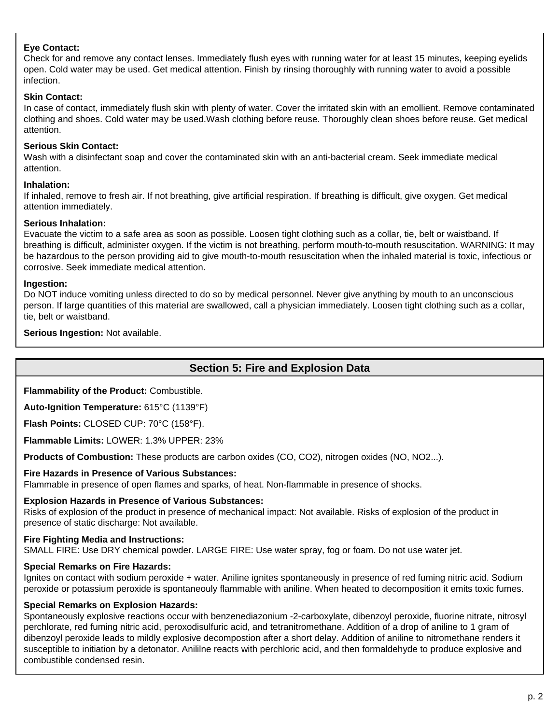### **Eye Contact:**

Check for and remove any contact lenses. Immediately flush eyes with running water for at least 15 minutes, keeping eyelids open. Cold water may be used. Get medical attention. Finish by rinsing thoroughly with running water to avoid a possible infection.

#### **Skin Contact:**

In case of contact, immediately flush skin with plenty of water. Cover the irritated skin with an emollient. Remove contaminated clothing and shoes. Cold water may be used.Wash clothing before reuse. Thoroughly clean shoes before reuse. Get medical attention.

#### **Serious Skin Contact:**

Wash with a disinfectant soap and cover the contaminated skin with an anti-bacterial cream. Seek immediate medical attention.

#### **Inhalation:**

If inhaled, remove to fresh air. If not breathing, give artificial respiration. If breathing is difficult, give oxygen. Get medical attention immediately.

#### **Serious Inhalation:**

Evacuate the victim to a safe area as soon as possible. Loosen tight clothing such as a collar, tie, belt or waistband. If breathing is difficult, administer oxygen. If the victim is not breathing, perform mouth-to-mouth resuscitation. WARNING: It may be hazardous to the person providing aid to give mouth-to-mouth resuscitation when the inhaled material is toxic, infectious or corrosive. Seek immediate medical attention.

#### **Ingestion:**

Do NOT induce vomiting unless directed to do so by medical personnel. Never give anything by mouth to an unconscious person. If large quantities of this material are swallowed, call a physician immediately. Loosen tight clothing such as a collar, tie, belt or waistband.

**Serious Ingestion:** Not available.

## **Section 5: Fire and Explosion Data**

**Flammability of the Product:** Combustible.

**Auto-Ignition Temperature:** 615°C (1139°F)

**Flash Points:** CLOSED CUP: 70°C (158°F).

**Flammable Limits:** LOWER: 1.3% UPPER: 23%

**Products of Combustion:** These products are carbon oxides (CO, CO2), nitrogen oxides (NO, NO2...).

#### **Fire Hazards in Presence of Various Substances:**

Flammable in presence of open flames and sparks, of heat. Non-flammable in presence of shocks.

#### **Explosion Hazards in Presence of Various Substances:**

Risks of explosion of the product in presence of mechanical impact: Not available. Risks of explosion of the product in presence of static discharge: Not available.

#### **Fire Fighting Media and Instructions:**

SMALL FIRE: Use DRY chemical powder. LARGE FIRE: Use water spray, fog or foam. Do not use water jet.

#### **Special Remarks on Fire Hazards:**

Ignites on contact with sodium peroxide + water. Aniline ignites spontaneously in presence of red fuming nitric acid. Sodium peroxide or potassium peroxide is spontaneouly flammable with aniline. When heated to decomposition it emits toxic fumes.

#### **Special Remarks on Explosion Hazards:**

Spontaneously explosive reactions occur with benzenediazonium -2-carboxylate, dibenzoyl peroxide, fluorine nitrate, nitrosyl perchlorate, red fuming nitric acid, peroxodisulfuric acid, and tetranitromethane. Addition of a drop of aniline to 1 gram of dibenzoyl peroxide leads to mildly explosive decompostion after a short delay. Addition of aniline to nitromethane renders it susceptible to initiation by a detonator. Anililne reacts with perchloric acid, and then formaldehyde to produce explosive and combustible condensed resin.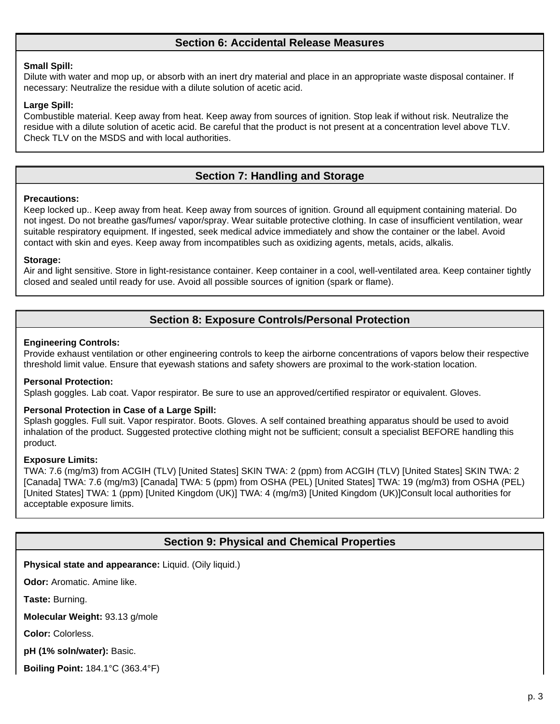## **Section 6: Accidental Release Measures**

#### **Small Spill:**

Dilute with water and mop up, or absorb with an inert dry material and place in an appropriate waste disposal container. If necessary: Neutralize the residue with a dilute solution of acetic acid.

#### **Large Spill:**

Combustible material. Keep away from heat. Keep away from sources of ignition. Stop leak if without risk. Neutralize the residue with a dilute solution of acetic acid. Be careful that the product is not present at a concentration level above TLV. Check TLV on the MSDS and with local authorities.

### **Section 7: Handling and Storage**

#### **Precautions:**

Keep locked up.. Keep away from heat. Keep away from sources of ignition. Ground all equipment containing material. Do not ingest. Do not breathe gas/fumes/ vapor/spray. Wear suitable protective clothing. In case of insufficient ventilation, wear suitable respiratory equipment. If ingested, seek medical advice immediately and show the container or the label. Avoid contact with skin and eyes. Keep away from incompatibles such as oxidizing agents, metals, acids, alkalis.

#### **Storage:**

Air and light sensitive. Store in light-resistance container. Keep container in a cool, well-ventilated area. Keep container tightly closed and sealed until ready for use. Avoid all possible sources of ignition (spark or flame).

# **Section 8: Exposure Controls/Personal Protection**

#### **Engineering Controls:**

Provide exhaust ventilation or other engineering controls to keep the airborne concentrations of vapors below their respective threshold limit value. Ensure that eyewash stations and safety showers are proximal to the work-station location.

#### **Personal Protection:**

Splash goggles. Lab coat. Vapor respirator. Be sure to use an approved/certified respirator or equivalent. Gloves.

#### **Personal Protection in Case of a Large Spill:**

Splash goggles. Full suit. Vapor respirator. Boots. Gloves. A self contained breathing apparatus should be used to avoid inhalation of the product. Suggested protective clothing might not be sufficient; consult a specialist BEFORE handling this product.

#### **Exposure Limits:**

TWA: 7.6 (mg/m3) from ACGIH (TLV) [United States] SKIN TWA: 2 (ppm) from ACGIH (TLV) [United States] SKIN TWA: 2 [Canada] TWA: 7.6 (mg/m3) [Canada] TWA: 5 (ppm) from OSHA (PEL) [United States] TWA: 19 (mg/m3) from OSHA (PEL) [United States] TWA: 1 (ppm) [United Kingdom (UK)] TWA: 4 (mg/m3) [United Kingdom (UK)]Consult local authorities for acceptable exposure limits.

### **Section 9: Physical and Chemical Properties**

**Physical state and appearance:** Liquid. (Oily liquid.)

**Odor:** Aromatic. Amine like.

**Taste:** Burning.

**Molecular Weight:** 93.13 g/mole

**Color:** Colorless.

#### **pH (1% soln/water):** Basic.

**Boiling Point:** 184.1°C (363.4°F)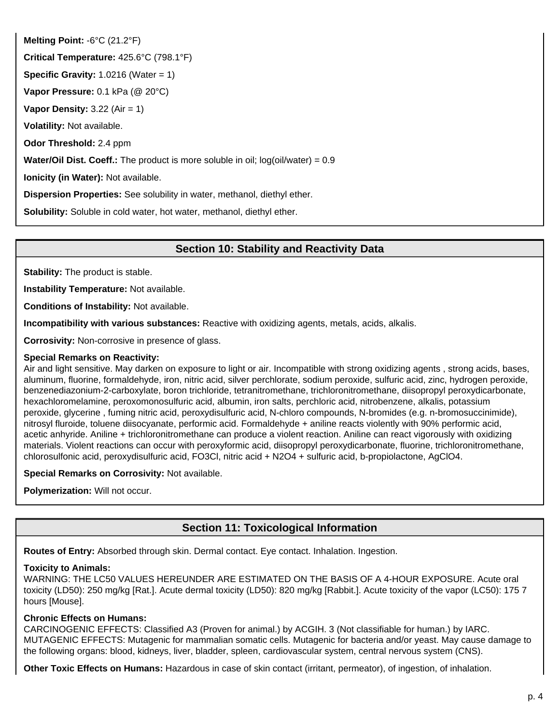**Melting Point:** -6°C (21.2°F) **Critical Temperature:** 425.6°C (798.1°F) **Specific Gravity:** 1.0216 (Water = 1) **Vapor Pressure:** 0.1 kPa (@ 20°C) **Vapor Density: 3.22 (Air = 1) Volatility:** Not available. **Odor Threshold:** 2.4 ppm **Water/Oil Dist. Coeff.:** The product is more soluble in oil; log(oil/water) = 0.9 **Ionicity (in Water):** Not available. **Dispersion Properties:** See solubility in water, methanol, diethyl ether.

**Solubility:** Soluble in cold water, hot water, methanol, diethyl ether.

# **Section 10: Stability and Reactivity Data**

**Stability:** The product is stable.

**Instability Temperature:** Not available.

**Conditions of Instability:** Not available.

**Incompatibility with various substances:** Reactive with oxidizing agents, metals, acids, alkalis.

**Corrosivity:** Non-corrosive in presence of glass.

#### **Special Remarks on Reactivity:**

Air and light sensitive. May darken on exposure to light or air. Incompatible with strong oxidizing agents , strong acids, bases, aluminum, fluorine, formaldehyde, iron, nitric acid, silver perchlorate, sodium peroxide, sulfuric acid, zinc, hydrogen peroxide, benzenediazonium-2-carboxylate, boron trichloride, tetranitromethane, trichloronitromethane, diisopropyl peroxydicarbonate, hexachloromelamine, peroxomonosulfuric acid, albumin, iron salts, perchloric acid, nitrobenzene, alkalis, potassium peroxide, glycerine , fuming nitric acid, peroxydisulfuric acid, N-chloro compounds, N-bromides (e.g. n-bromosuccinimide), nitrosyl fluroide, toluene diisocyanate, performic acid. Formaldehyde + aniline reacts violently with 90% performic acid, acetic anhyride. Aniline + trichloronitromethane can produce a violent reaction. Aniline can react vigorously with oxidizing materials. Violent reactions can occur with peroxyformic acid, diisopropyl peroxydicarbonate, fluorine, trichloronitromethane, chlorosulfonic acid, peroxydisulfuric acid, FO3Cl, nitric acid + N2O4 + sulfuric acid, b-propiolactone, AgClO4.

**Special Remarks on Corrosivity:** Not available.

**Polymerization:** Will not occur.

# **Section 11: Toxicological Information**

**Routes of Entry:** Absorbed through skin. Dermal contact. Eye contact. Inhalation. Ingestion.

#### **Toxicity to Animals:**

WARNING: THE LC50 VALUES HEREUNDER ARE ESTIMATED ON THE BASIS OF A 4-HOUR EXPOSURE. Acute oral toxicity (LD50): 250 mg/kg [Rat.]. Acute dermal toxicity (LD50): 820 mg/kg [Rabbit.]. Acute toxicity of the vapor (LC50): 175 7 hours [Mouse].

#### **Chronic Effects on Humans:**

CARCINOGENIC EFFECTS: Classified A3 (Proven for animal.) by ACGIH. 3 (Not classifiable for human.) by IARC. MUTAGENIC EFFECTS: Mutagenic for mammalian somatic cells. Mutagenic for bacteria and/or yeast. May cause damage to the following organs: blood, kidneys, liver, bladder, spleen, cardiovascular system, central nervous system (CNS).

**Other Toxic Effects on Humans:** Hazardous in case of skin contact (irritant, permeator), of ingestion, of inhalation.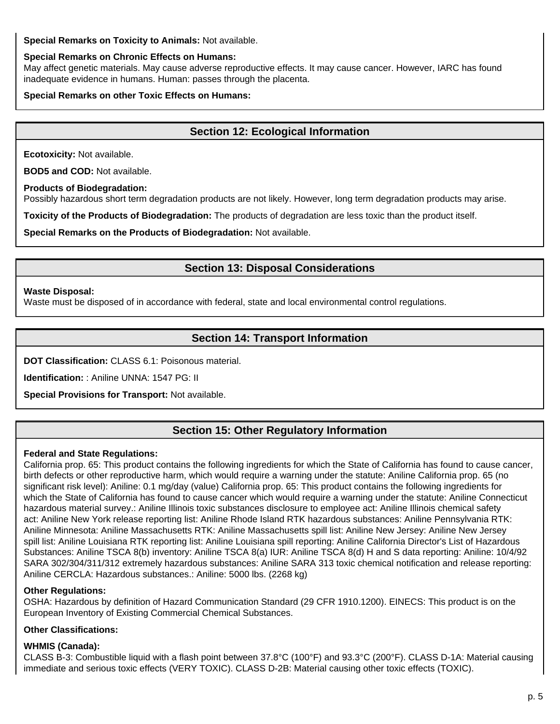**Special Remarks on Toxicity to Animals:** Not available.

#### **Special Remarks on Chronic Effects on Humans:**

May affect genetic materials. May cause adverse reproductive effects. It may cause cancer. However, IARC has found inadequate evidence in humans. Human: passes through the placenta.

**Special Remarks on other Toxic Effects on Humans:**

# **Section 12: Ecological Information**

**Ecotoxicity:** Not available.

**BOD5 and COD:** Not available.

#### **Products of Biodegradation:**

Possibly hazardous short term degradation products are not likely. However, long term degradation products may arise.

**Toxicity of the Products of Biodegradation:** The products of degradation are less toxic than the product itself.

**Special Remarks on the Products of Biodegradation:** Not available.

# **Section 13: Disposal Considerations**

#### **Waste Disposal:**

Waste must be disposed of in accordance with federal, state and local environmental control regulations.

# **Section 14: Transport Information**

**DOT Classification:** CLASS 6.1: Poisonous material.

**Identification:** : Aniline UNNA: 1547 PG: II

**Special Provisions for Transport:** Not available.

# **Section 15: Other Regulatory Information**

#### **Federal and State Regulations:**

California prop. 65: This product contains the following ingredients for which the State of California has found to cause cancer, birth defects or other reproductive harm, which would require a warning under the statute: Aniline California prop. 65 (no significant risk level): Aniline: 0.1 mg/day (value) California prop. 65: This product contains the following ingredients for which the State of California has found to cause cancer which would require a warning under the statute: Aniline Connecticut hazardous material survey.: Aniline Illinois toxic substances disclosure to employee act: Aniline Illinois chemical safety act: Aniline New York release reporting list: Aniline Rhode Island RTK hazardous substances: Aniline Pennsylvania RTK: Aniline Minnesota: Aniline Massachusetts RTK: Aniline Massachusetts spill list: Aniline New Jersey: Aniline New Jersey spill list: Aniline Louisiana RTK reporting list: Aniline Louisiana spill reporting: Aniline California Director's List of Hazardous Substances: Aniline TSCA 8(b) inventory: Aniline TSCA 8(a) IUR: Aniline TSCA 8(d) H and S data reporting: Aniline: 10/4/92 SARA 302/304/311/312 extremely hazardous substances: Aniline SARA 313 toxic chemical notification and release reporting: Aniline CERCLA: Hazardous substances.: Aniline: 5000 lbs. (2268 kg)

#### **Other Regulations:**

OSHA: Hazardous by definition of Hazard Communication Standard (29 CFR 1910.1200). EINECS: This product is on the European Inventory of Existing Commercial Chemical Substances.

#### **Other Classifications:**

#### **WHMIS (Canada):**

CLASS B-3: Combustible liquid with a flash point between 37.8°C (100°F) and 93.3°C (200°F). CLASS D-1A: Material causing immediate and serious toxic effects (VERY TOXIC). CLASS D-2B: Material causing other toxic effects (TOXIC).